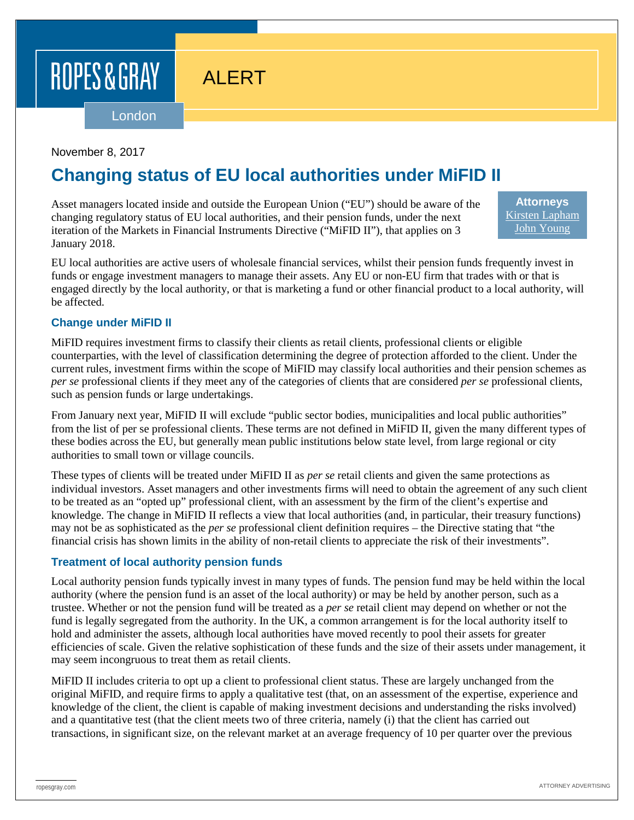# ROPES & GRAY

# ALERT

London

#### November 8, 2017

## **Changing status of EU local authorities under MiFID II**

Asset managers located inside and outside the European Union ("EU") should be aware of the changing regulatory status of EU local authorities, and their pension funds, under the next iteration of the Markets in Financial Instruments Directive ("MiFID II"), that applies on 3 January 2018.

**Attorneys** [Kirsten Lapham](https://www.ropesgray.com/biographies/l/kirsten-lapham.aspx) [John Young](https://www.ropesgray.com/biographies/y/John-Young.aspx)

EU local authorities are active users of wholesale financial services, whilst their pension funds frequently invest in funds or engage investment managers to manage their assets. Any EU or non-EU firm that trades with or that is engaged directly by the local authority, or that is marketing a fund or other financial product to a local authority, will be affected.

#### **Change under MiFID II**

MiFID requires investment firms to classify their clients as retail clients, professional clients or eligible counterparties, with the level of classification determining the degree of protection afforded to the client. Under the current rules, investment firms within the scope of MiFID may classify local authorities and their pension schemes as *per se* professional clients if they meet any of the categories of clients that are considered *per se* professional clients, such as pension funds or large undertakings.

From January next year, MiFID II will exclude "public sector bodies, municipalities and local public authorities" from the list of per se professional clients. These terms are not defined in MiFID II, given the many different types of these bodies across the EU, but generally mean public institutions below state level, from large regional or city authorities to small town or village councils.

These types of clients will be treated under MiFID II as *per se* retail clients and given the same protections as individual investors. Asset managers and other investments firms will need to obtain the agreement of any such client to be treated as an "opted up" professional client, with an assessment by the firm of the client's expertise and knowledge. The change in MiFID II reflects a view that local authorities (and, in particular, their treasury functions) may not be as sophisticated as the *per se* professional client definition requires – the Directive stating that "the financial crisis has shown limits in the ability of non-retail clients to appreciate the risk of their investments".

#### **Treatment of local authority pension funds**

Local authority pension funds typically invest in many types of funds. The pension fund may be held within the local authority (where the pension fund is an asset of the local authority) or may be held by another person, such as a trustee. Whether or not the pension fund will be treated as a *per se* retail client may depend on whether or not the fund is legally segregated from the authority. In the UK, a common arrangement is for the local authority itself to hold and administer the assets, although local authorities have moved recently to pool their assets for greater efficiencies of scale. Given the relative sophistication of these funds and the size of their assets under management, it may seem incongruous to treat them as retail clients.

MiFID II includes criteria to opt up a client to professional client status. These are largely unchanged from the original MiFID, and require firms to apply a qualitative test (that, on an assessment of the expertise, experience and knowledge of the client, the client is capable of making investment decisions and understanding the risks involved) and a quantitative test (that the client meets two of three criteria, namely (i) that the client has carried out transactions, in significant size, on the relevant market at an average frequency of 10 per quarter over the previous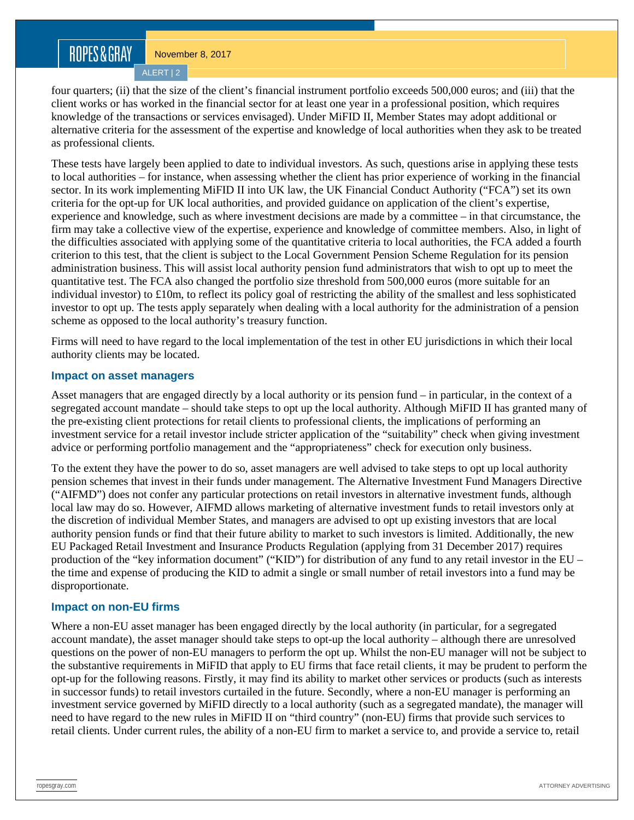### ROPES&GRAY

ALERT | 2

four quarters; (ii) that the size of the client's financial instrument portfolio exceeds 500,000 euros; and (iii) that the client works or has worked in the financial sector for at least one year in a professional position, which requires knowledge of the transactions or services envisaged). Under MiFID II, Member States may adopt additional or alternative criteria for the assessment of the expertise and knowledge of local authorities when they ask to be treated as professional clients.

These tests have largely been applied to date to individual investors. As such, questions arise in applying these tests to local authorities – for instance, when assessing whether the client has prior experience of working in the financial sector. In its work implementing MiFID II into UK law, the UK Financial Conduct Authority ("FCA") set its own criteria for the opt-up for UK local authorities, and provided guidance on application of the client's expertise, experience and knowledge, such as where investment decisions are made by a committee – in that circumstance, the firm may take a collective view of the expertise, experience and knowledge of committee members. Also, in light of the difficulties associated with applying some of the quantitative criteria to local authorities, the FCA added a fourth criterion to this test, that the client is subject to the Local Government Pension Scheme Regulation for its pension administration business. This will assist local authority pension fund administrators that wish to opt up to meet the quantitative test. The FCA also changed the portfolio size threshold from 500,000 euros (more suitable for an individual investor) to £10m, to reflect its policy goal of restricting the ability of the smallest and less sophisticated investor to opt up. The tests apply separately when dealing with a local authority for the administration of a pension scheme as opposed to the local authority's treasury function.

Firms will need to have regard to the local implementation of the test in other EU jurisdictions in which their local authority clients may be located.

#### **Impact on asset managers**

Asset managers that are engaged directly by a local authority or its pension fund – in particular, in the context of a segregated account mandate – should take steps to opt up the local authority. Although MiFID II has granted many of the pre-existing client protections for retail clients to professional clients, the implications of performing an investment service for a retail investor include stricter application of the "suitability" check when giving investment advice or performing portfolio management and the "appropriateness" check for execution only business.

To the extent they have the power to do so, asset managers are well advised to take steps to opt up local authority pension schemes that invest in their funds under management. The Alternative Investment Fund Managers Directive ("AIFMD") does not confer any particular protections on retail investors in alternative investment funds, although local law may do so. However, AIFMD allows marketing of alternative investment funds to retail investors only at the discretion of individual Member States, and managers are advised to opt up existing investors that are local authority pension funds or find that their future ability to market to such investors is limited. Additionally, the new EU Packaged Retail Investment and Insurance Products Regulation (applying from 31 December 2017) requires production of the "key information document" ("KID") for distribution of any fund to any retail investor in the EU – the time and expense of producing the KID to admit a single or small number of retail investors into a fund may be disproportionate.

#### **Impact on non-EU firms**

Where a non-EU asset manager has been engaged directly by the local authority (in particular, for a segregated account mandate), the asset manager should take steps to opt-up the local authority – although there are unresolved questions on the power of non-EU managers to perform the opt up. Whilst the non-EU manager will not be subject to the substantive requirements in MiFID that apply to EU firms that face retail clients, it may be prudent to perform the opt-up for the following reasons. Firstly, it may find its ability to market other services or products (such as interests in successor funds) to retail investors curtailed in the future. Secondly, where a non-EU manager is performing an investment service governed by MiFID directly to a local authority (such as a segregated mandate), the manager will need to have regard to the new rules in MiFID II on "third country" (non-EU) firms that provide such services to retail clients. Under current rules, the ability of a non-EU firm to market a service to, and provide a service to, retail